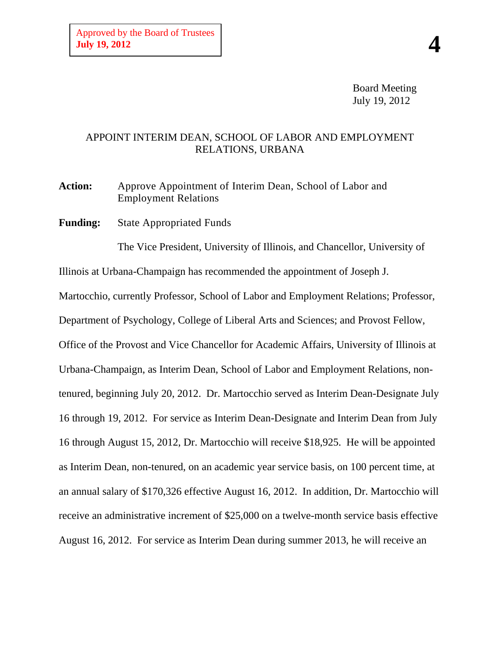Board Meeting July 19, 2012

## APPOINT INTERIM DEAN, SCHOOL OF LABOR AND EMPLOYMENT RELATIONS, URBANA

**Action:** Approve Appointment of Interim Dean, School of Labor and Employment Relations

**Funding:** State Appropriated Funds

The Vice President, University of Illinois, and Chancellor, University of Illinois at Urbana-Champaign has recommended the appointment of Joseph J. Martocchio, currently Professor, School of Labor and Employment Relations; Professor,

Department of Psychology, College of Liberal Arts and Sciences; and Provost Fellow, Office of the Provost and Vice Chancellor for Academic Affairs, University of Illinois at Urbana-Champaign, as Interim Dean, School of Labor and Employment Relations, nontenured, beginning July 20, 2012. Dr. Martocchio served as Interim Dean-Designate July 16 through 19, 2012. For service as Interim Dean-Designate and Interim Dean from July 16 through August 15, 2012, Dr. Martocchio will receive \$18,925. He will be appointed as Interim Dean, non-tenured, on an academic year service basis, on 100 percent time, at an annual salary of \$170,326 effective August 16, 2012. In addition, Dr. Martocchio will receive an administrative increment of \$25,000 on a twelve-month service basis effective August 16, 2012. For service as Interim Dean during summer 2013, he will receive an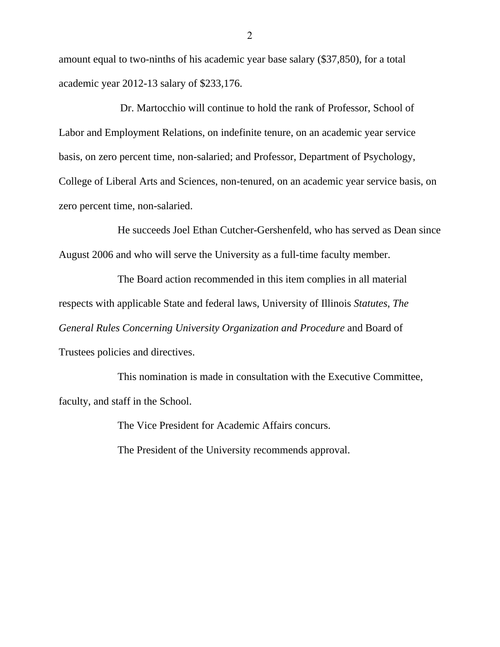amount equal to two-ninths of his academic year base salary (\$37,850), for a total academic year 2012-13 salary of \$233,176.

Dr. Martocchio will continue to hold the rank of Professor, School of Labor and Employment Relations, on indefinite tenure, on an academic year service basis, on zero percent time, non-salaried; and Professor, Department of Psychology, College of Liberal Arts and Sciences, non-tenured, on an academic year service basis, on zero percent time, non-salaried.

He succeeds Joel Ethan Cutcher-Gershenfeld, who has served as Dean since August 2006 and who will serve the University as a full-time faculty member.

The Board action recommended in this item complies in all material respects with applicable State and federal laws, University of Illinois *Statutes*, *The General Rules Concerning University Organization and Procedure* and Board of Trustees policies and directives.

This nomination is made in consultation with the Executive Committee, faculty, and staff in the School.

The Vice President for Academic Affairs concurs.

The President of the University recommends approval.